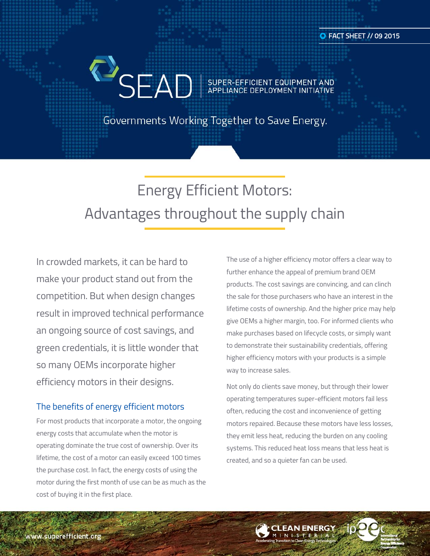SEAD SUPER-EFFICIENT EQUIPMENT AND

Governments Working Together to Save Energy.

# Energy Efficient Motors: Advantages throughout the supply chain

In crowded markets, it can be hard to make your product stand out from the competition. But when design changes result in improved technical performance an ongoing source of cost savings, and green credentials, it is little wonder that so many OEMs incorporate higher efficiency motors in their designs.

### The benefits of energy efficient motors

For most products that incorporate a motor, the ongoing energy costs that accumulate when the motor is operating dominate the true cost of ownership. Over its lifetime, the cost of a motor can easily exceed 100 times the purchase cost. In fact, the energy costs of using the motor during the first month of use can be as much as the cost of buying it in the first place.

The use of a higher efficiency motor offers a clear way to further enhance the appeal of premium brand OEM products. The cost savings are convincing, and can clinch the sale for those purchasers who have an interest in the lifetime costs of ownership. And the higher price may help give OEMs a higher margin, too. For informed clients who make purchases based on lifecycle costs, or simply want to demonstrate their sustainability credentials, offering higher efficiency motors with your products is a simple way to increase sales.

Not only do clients save money, but through their lower operating temperatures super-efficient motors fail less often, reducing the cost and inconvenience of getting motors repaired. Because these motors have less losses, they emit less heat, reducing the burden on any cooling systems. This reduced heat loss means that less heat is created, and so a quieter fan can be used.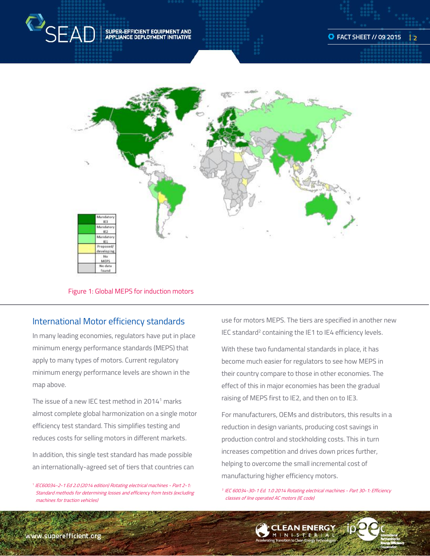



#### Figure 1: Global MEPS for induction motors

### International Motor efficiency standards

In many leading economies, regulators have put in place minimum energy performance standards (MEPS) that apply to many types of motors. Current regulatory minimum energy performance levels are shown in the map above.

The issue of a new IEC test method in  $2014<sup>1</sup>$  marks almost complete global harmonization on a single motor efficiency test standard. This simplifies testing and reduces costs for selling motors in different markets.

In addition, this single test standard has made possible an internationally-agreed set of tiers that countries can

<sup>1</sup> IEC60034-2-1 Ed 2.0 (2014 edition) Rotating electrical machines - Part 2-1: Standard methods for determining losses and efficiency from tests (excluding machines for traction vehicles)

use for motors MEPS. The tiers are specified in another new IEC standard<sup>2</sup> containing the IE1 to IE4 efficiency levels.

With these two fundamental standards in place, it has become much easier for regulators to see how MEPS in their country compare to those in other economies. The effect of this in major economies has been the gradual raising of MEPS first to IE2, and then on to IE3.

For manufacturers, OEMs and distributors, this results in a reduction in design variants, producing cost savings in production control and stockholding costs. This in turn increases competition and drives down prices further, helping to overcome the small incremental cost of manufacturing higher efficiency motors.

2 IEC 60034-30-1 Ed. 1.0 2014 Rotating electrical machines - Part 30-1: Efficiency classes of line operated AC motors (IE code)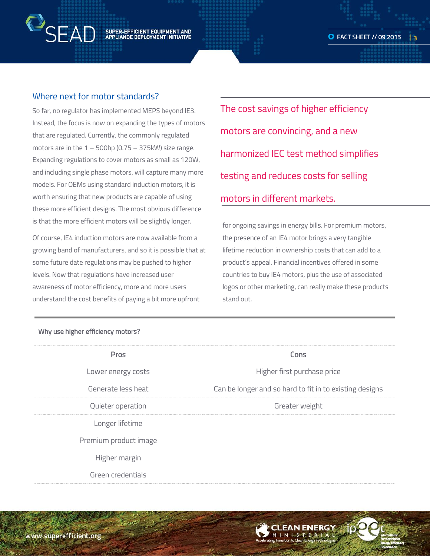## SUPER-EFFICIENT EQUIPMENT AND<br>APPLIANCE DEPLOYMENT INITIATIVE

### Where next for motor standards?

**P**SEAD

So far, no regulator has implemented MEPS beyond IE3. Instead, the focus is now on expanding the types of motors that are regulated. Currently, the commonly regulated motors are in the  $1 - 500$ hp (0.75 – 375kW) size range. Expanding regulations to cover motors as small as 120W, and including single phase motors, will capture many more models. For OEMs using standard induction motors, it is worth ensuring that new products are capable of using these more efficient designs. The most obvious difference is that the more efficient motors will be slightly longer.

Of course, IE4 induction motors are now available from a growing band of manufacturers, and so it is possible that at some future date regulations may be pushed to higher levels. Now that regulations have increased user awareness of motor efficiency, more and more users understand the cost benefits of paying a bit more upfront

The cost savings of higher efficiency motors are convincing, and a new harmonized IEC test method simplifies testing and reduces costs for selling motors in different markets.

for ongoing savings in energy bills. For premium motors, the presence of an IE4 motor brings a very tangible lifetime reduction in ownership costs that can add to a product's appeal. Financial incentives offered in some countries to buy IE4 motors, plus the use of associated logos or other marketing, can really make these products stand out.

| <b>Pros</b>           | Cons                                                    |
|-----------------------|---------------------------------------------------------|
| Lower energy costs    | Higher first purchase price                             |
| Generate less heat    | Can be longer and so hard to fit in to existing designs |
| Quieter operation     | Greater weight                                          |
| Longer lifetime       |                                                         |
| Premium product image |                                                         |
| Higher margin         |                                                         |
| Green credentials     |                                                         |

### Why use higher efficiency motors?